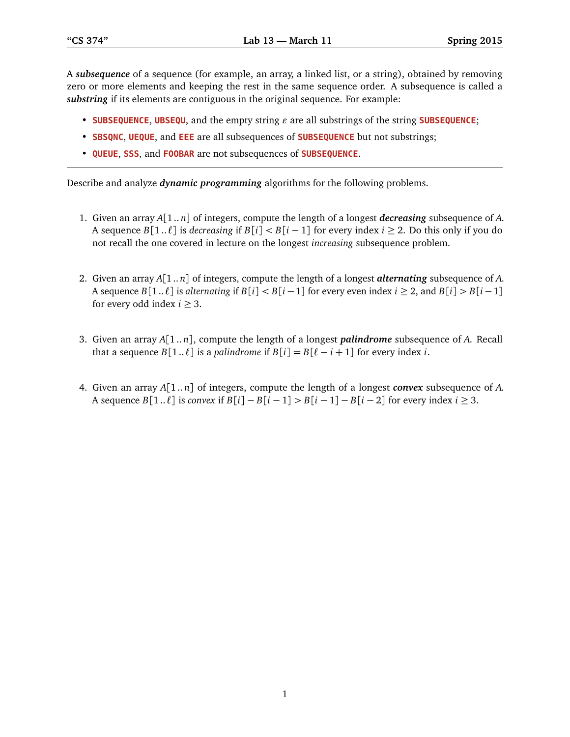A *subsequence* of a sequence (for example, an array, a linked list, or a string), obtained by removing zero or more elements and keeping the rest in the same sequence order. A subsequence is called a *substring* if its elements are contiguous in the original sequence. For example:

- **SUBSEQUENCE, UBSEQU**, and the empty string  $\varepsilon$  are all substrings of the string **SUBSEQUENCE**;
- **SBSQNC**, **UEQUE**, and **EEE** are all subsequences of **SUBSEQUENCE** but not substrings;
- **QUEUE**, **SSS**, and **FOOBAR** are not subsequences of **SUBSEQUENCE**.

Describe and analyze *dynamic programming* algorithms for the following problems.

- 1. Given an array *A*[1 .. *n*] of integers, compute the length of a longest *decreasing* subsequence of *A*. A sequence  $B[1..\ell]$  is *decreasing* if  $B[i] < B[i-1]$  for every index  $i \ge 2$ . Do this only if you do not recall the one covered in lecture on the longest *increasing* subsequence problem.
- 2. Given an array *A*[1 .. *n*] of integers, compute the length of a longest *alternating* subsequence of *A*. A sequence  $B[1..l]$  is *alternating* if  $B[i] < B[i-1]$  for every even index  $i \ge 2$ , and  $B[i] > B[i-1]$ for every odd index  $i \geq 3$ .
- 3. Given an array *A*[1.. *n*], compute the length of a longest *palindrome* subsequence of *A*. Recall that a sequence  $B[1..\ell]$  is a *palindrome* if  $B[i] = B[\ell - i + 1]$  for every index *i*.
- 4. Given an array *A*[1.. *n*] of integers, compute the length of a longest *convex* subsequence of *A*. A sequence *B*[1 ..  $\ell$ ] is *convex* if  $B[i] - B[i-1] > B[i-1] - B[i-2]$  for every index *i* ≥ 3.